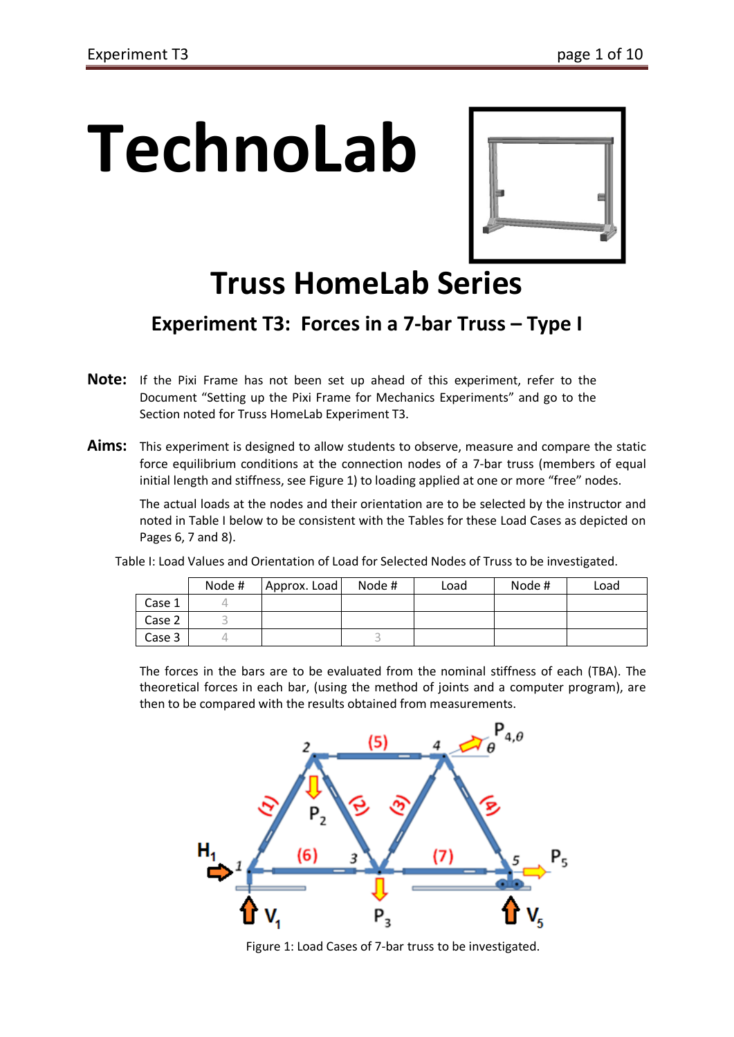# **TechnoLab**



# **Truss HomeLab Series**

# **Experiment T3: Forces in a 7-bar Truss – Type I**

- **Note:** If the Pixi Frame has not been set up ahead of this experiment, refer to the Document "Setting up the Pixi Frame for Mechanics Experiments" and go to the Section noted for Truss HomeLab Experiment T3.
- Aims: This experiment is designed to allow students to observe, measure and compare the static force equilibrium conditions at the connection nodes of a 7-bar truss (members of equal initial length and stiffness, see Figure 1) to loading applied at one or more "free" nodes.

The actual loads at the nodes and their orientation are to be selected by the instructor and noted in Table I below to be consistent with the Tables for these Load Cases as depicted on Pages 6, 7 and 8).

Table I: Load Values and Orientation of Load for Selected Nodes of Truss to be investigated.

|        | Node # | Approx. Load | Node # | Load | Node # | Load |
|--------|--------|--------------|--------|------|--------|------|
| Case 1 |        |              |        |      |        |      |
| Case 2 |        |              |        |      |        |      |
| Case 3 |        |              |        |      |        |      |

The forces in the bars are to be evaluated from the nominal stiffness of each (TBA). The theoretical forces in each bar, (using the method of joints and a computer program), are then to be compared with the results obtained from measurements.



Figure 1: Load Cases of 7-bar truss to be investigated.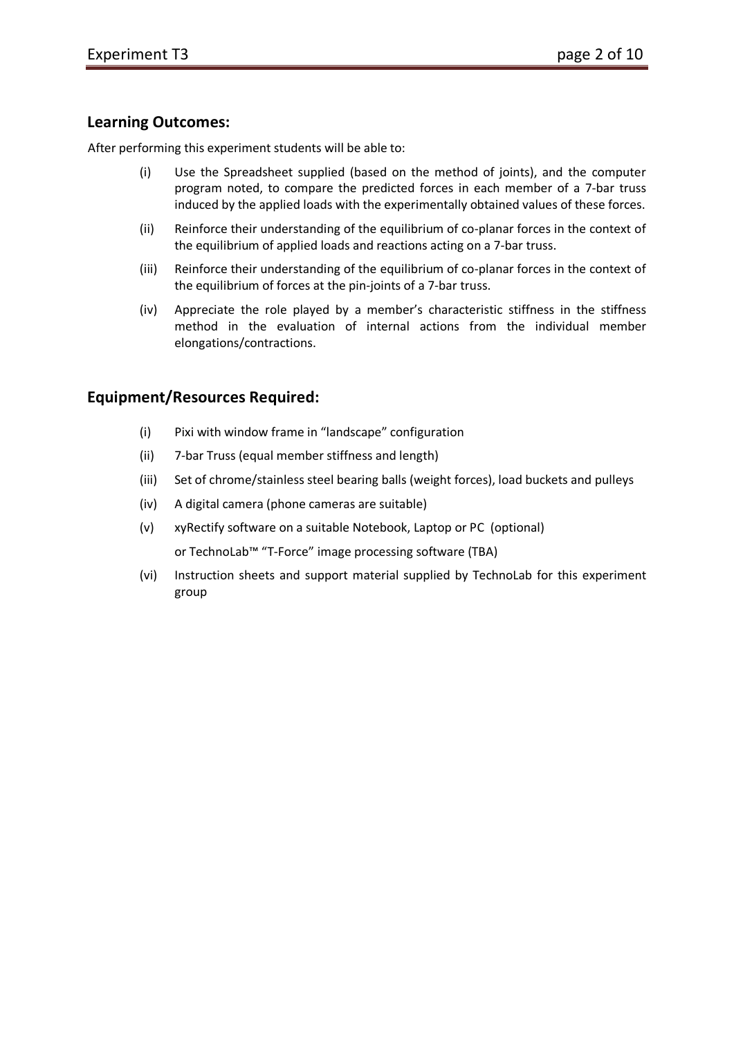#### **Learning Outcomes:**

After performing this experiment students will be able to:

- (i) Use the Spreadsheet supplied (based on the method of joints), and the computer program noted, to compare the predicted forces in each member of a 7-bar truss induced by the applied loads with the experimentally obtained values of these forces.
- (ii) Reinforce their understanding of the equilibrium of co-planar forces in the context of the equilibrium of applied loads and reactions acting on a 7-bar truss.
- (iii) Reinforce their understanding of the equilibrium of co-planar forces in the context of the equilibrium of forces at the pin-joints of a 7-bar truss.
- (iv) Appreciate the role played by a member's characteristic stiffness in the stiffness method in the evaluation of internal actions from the individual member elongations/contractions.

#### **Equipment/Resources Required:**

- (i) Pixi with window frame in "landscape" configuration
- (ii) 7-bar Truss (equal member stiffness and length)
- (iii) Set of chrome/stainless steel bearing balls (weight forces), load buckets and pulleys
- (iv) A digital camera (phone cameras are suitable)
- (v) xyRectify software on a suitable Notebook, Laptop or PC (optional) or TechnoLab™ "T-Force" image processing software (TBA)
- (vi) Instruction sheets and support material supplied by TechnoLab for this experiment group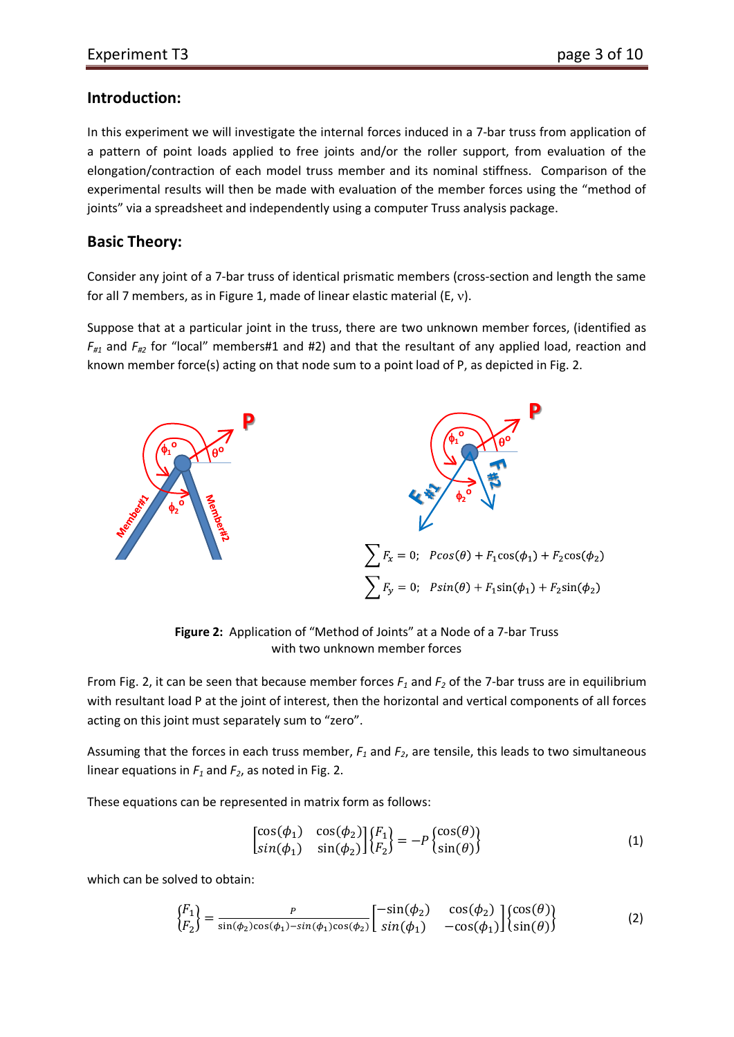#### **Introduction:**

In this experiment we will investigate the internal forces induced in a 7-bar truss from application of a pattern of point loads applied to free joints and/or the roller support, from evaluation of the elongation/contraction of each model truss member and its nominal stiffness. Comparison of the experimental results will then be made with evaluation of the member forces using the "method of joints" via a spreadsheet and independently using a computer Truss analysis package.

#### **Basic Theory:**

Consider any joint of a 7-bar truss of identical prismatic members (cross-section and length the same for all 7 members, as in Figure 1, made of linear elastic material (E, ν).

Suppose that at a particular joint in the truss, there are two unknown member forces, (identified as  $F_{\mu_1}$  and  $F_{\mu_2}$  for "local" members#1 and #2) and that the resultant of any applied load, reaction and known member force(s) acting on that node sum to a point load of P, as depicted in Fig. 2.



**Figure 2:** Application of "Method of Joints" at a Node of a 7-bar Truss with two unknown member forces

From Fig. 2, it can be seen that because member forces  $F_1$  and  $F_2$  of the 7-bar truss are in equilibrium with resultant load P at the joint of interest, then the horizontal and vertical components of all forces acting on this joint must separately sum to "zero".

Assuming that the forces in each truss member, *F1* and *F2*, are tensile, this leads to two simultaneous linear equations in  $F_1$  and  $F_2$ , as noted in Fig. 2.

These equations can be represented in matrix form as follows:

$$
\begin{bmatrix}\n\cos(\phi_1) & \cos(\phi_2) \\
\sin(\phi_1) & \sin(\phi_2)\n\end{bmatrix}\n\begin{bmatrix}\nF_1 \\
F_2\n\end{bmatrix} = -P \begin{Bmatrix}\n\cos(\theta) \\
\sin(\theta)\n\end{Bmatrix}
$$
\n(1)

which can be solved to obtain:

$$
\begin{Bmatrix} F_1 \\ F_2 \end{Bmatrix} = \frac{P}{\sin(\phi_2)\cos(\phi_1) - \sin(\phi_1)\cos(\phi_2)} \begin{bmatrix} -\sin(\phi_2) & \cos(\phi_2) \\ \sin(\phi_1) & -\cos(\phi_1) \end{bmatrix} \begin{Bmatrix} \cos(\theta) \\ \sin(\theta) \end{Bmatrix}
$$
 (2)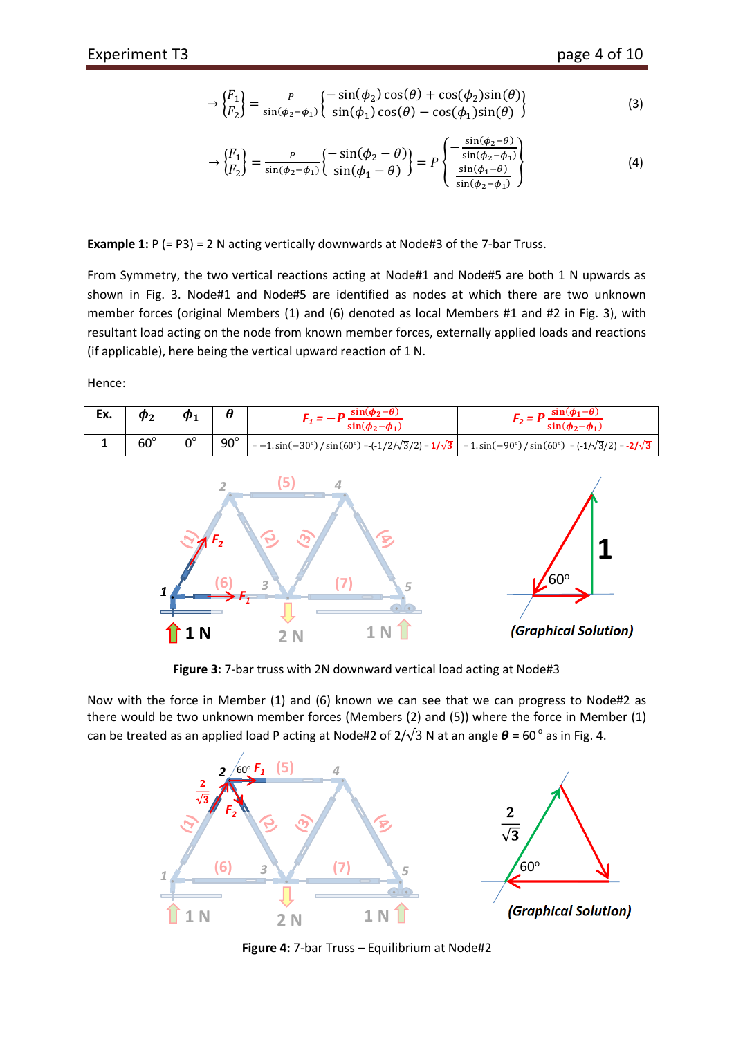$$
\rightarrow \begin{Bmatrix} F_1 \\ F_2 \end{Bmatrix} = \frac{P}{\sin(\phi_2 - \phi_1)} \begin{Bmatrix} -\sin(\phi_2)\cos(\theta) + \cos(\phi_2)\sin(\theta) \\ \sin(\phi_1)\cos(\theta) - \cos(\phi_1)\sin(\theta) \end{Bmatrix}
$$
(3)

$$
\rightarrow \begin{Bmatrix} F_1 \\ F_2 \end{Bmatrix} = \frac{P}{\sin(\phi_2 - \phi_1)} \begin{Bmatrix} -\sin(\phi_2 - \theta) \\ \sin(\phi_1 - \theta) \end{Bmatrix} = P \begin{Bmatrix} -\frac{\sin(\phi_2 - \theta)}{\sin(\phi_2 - \phi_1)} \\ \frac{\sin(\phi_1 - \theta)}{\sin(\phi_2 - \phi_1)} \end{Bmatrix}
$$
(4)

**Example 1:** P (= P3) = 2 N acting vertically downwards at Node#3 of the 7-bar Truss.

From Symmetry, the two vertical reactions acting at Node#1 and Node#5 are both 1 N upwards as shown in Fig. 3. Node#1 and Node#5 are identified as nodes at which there are two unknown member forces (original Members (1) and (6) denoted as local Members #1 and #2 in Fig. 3), with resultant load acting on the node from known member forces, externally applied loads and reactions (if applicable), here being the vertical upward reaction of 1 N.

Hence:

| Ex. | $\boldsymbol{\varphi}$ | $\bm{\Phi}_{\textbf{1}}$ |            | $sin(\phi_2-\theta)$<br>$sin(\phi_2-\phi_1)$                                                                                            | $sin(\phi_1-\theta)$<br>$sin(\phi_2-\phi_1)$ |
|-----|------------------------|--------------------------|------------|-----------------------------------------------------------------------------------------------------------------------------------------|----------------------------------------------|
|     | $60^\circ$             | $0^{\circ}$              | $90^\circ$ | $\vert$ = -1. sin(-30°)/sin(60°) =-(-1/2/ $\sqrt{3}/2$ ) = 1/ $\sqrt{3}$ = 1. sin(-90°)/sin(60°) = (-1/ $\sqrt{3}/2$ ) = -2/ $\sqrt{3}$ |                                              |



**Figure 3:** 7-bar truss with 2N downward vertical load acting at Node#3

Now with the force in Member (1) and (6) known we can see that we can progress to Node#2 as there would be two unknown member forces (Members (2) and (5)) where the force in Member (1) can be treated as an applied load P acting at Node#2 of  $2/\sqrt{3}$  N at an angle  $\theta$  = 60 $^{\circ}$  as in Fig. 4.



**Figure 4:** 7-bar Truss – Equilibrium at Node#2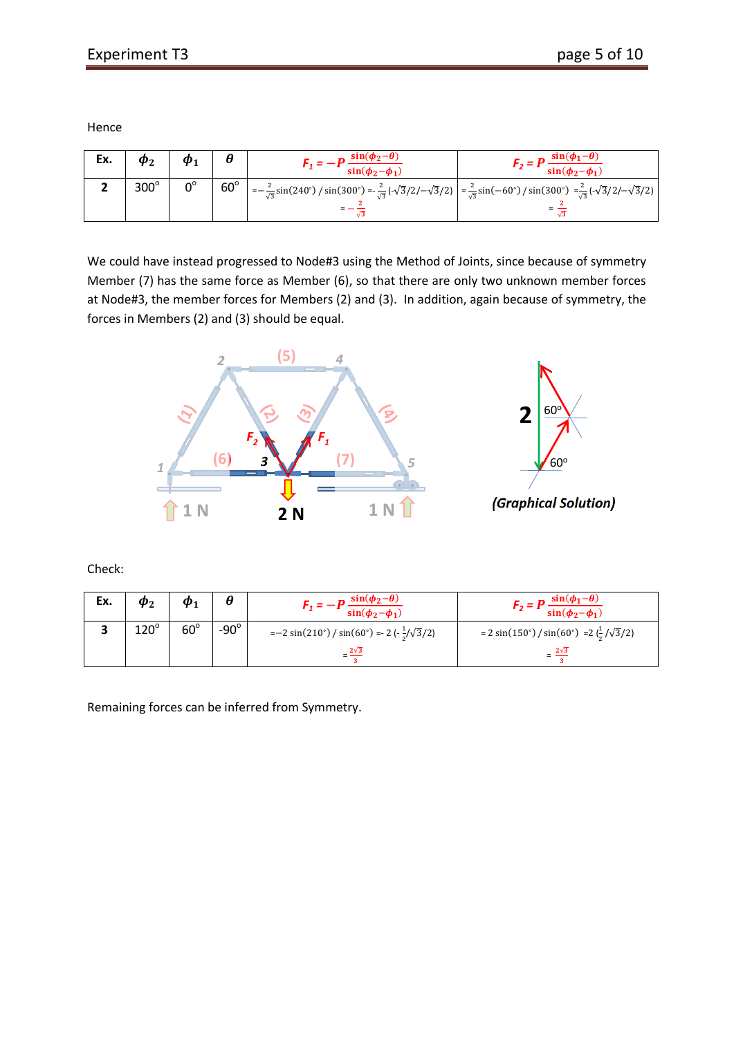Hence

| Ex. |             | $\boldsymbol{\varpi}$ |            | $sin(\phi_2-\theta)$<br>$sin(\phi_2-\phi_1)$                                                                                                                                                          | $\sin(\phi_1-\theta)$<br>$\sin(\phi_2-\phi_1)$ |
|-----|-------------|-----------------------|------------|-------------------------------------------------------------------------------------------------------------------------------------------------------------------------------------------------------|------------------------------------------------|
|     | $300^\circ$ | $0^{\circ}$           | $60^\circ$ | $\frac{2}{\sqrt{3}}\sin(240^\circ)/\sin(300^\circ) = \frac{2}{\sqrt{3}}(-\sqrt{3}/2 - \sqrt{3}/2) = \frac{2}{\sqrt{3}}\sin(-60^\circ)/\sin(300^\circ) = \frac{2}{\sqrt{3}}(-\sqrt{3}/2 - \sqrt{3}/2)$ |                                                |

We could have instead progressed to Node#3 using the Method of Joints, since because of symmetry Member (7) has the same force as Member (6), so that there are only two unknown member forces at Node#3, the member forces for Members (2) and (3). In addition, again because of symmetry, the forces in Members (2) and (3) should be equal.



Check:

| Ex. | $\bm{\varphi}_2$ | $\boldsymbol{\Phi}$ |                | $sin(\phi_2-\theta)$<br>$sin(\phi_2-\phi_1)$                                | $sin(\phi_1-\theta)$<br>$sin(\phi_2-\phi_1)$                      |
|-----|------------------|---------------------|----------------|-----------------------------------------------------------------------------|-------------------------------------------------------------------|
|     | $120^\circ$      | $60^\circ$          | -90 $^{\circ}$ | $=-2\sin(210^\circ)/\sin(60^\circ) = 2\left(-\frac{1}{2}/\sqrt{3}/2\right)$ | = 2 sin(150°) / sin(60°) = $2\left(\frac{1}{2}/\sqrt{3}/2\right)$ |
|     |                  |                     |                | $-\frac{2\sqrt{3}}{2}$                                                      | $=$ $\frac{2\sqrt{3}}{3}$                                         |

Remaining forces can be inferred from Symmetry.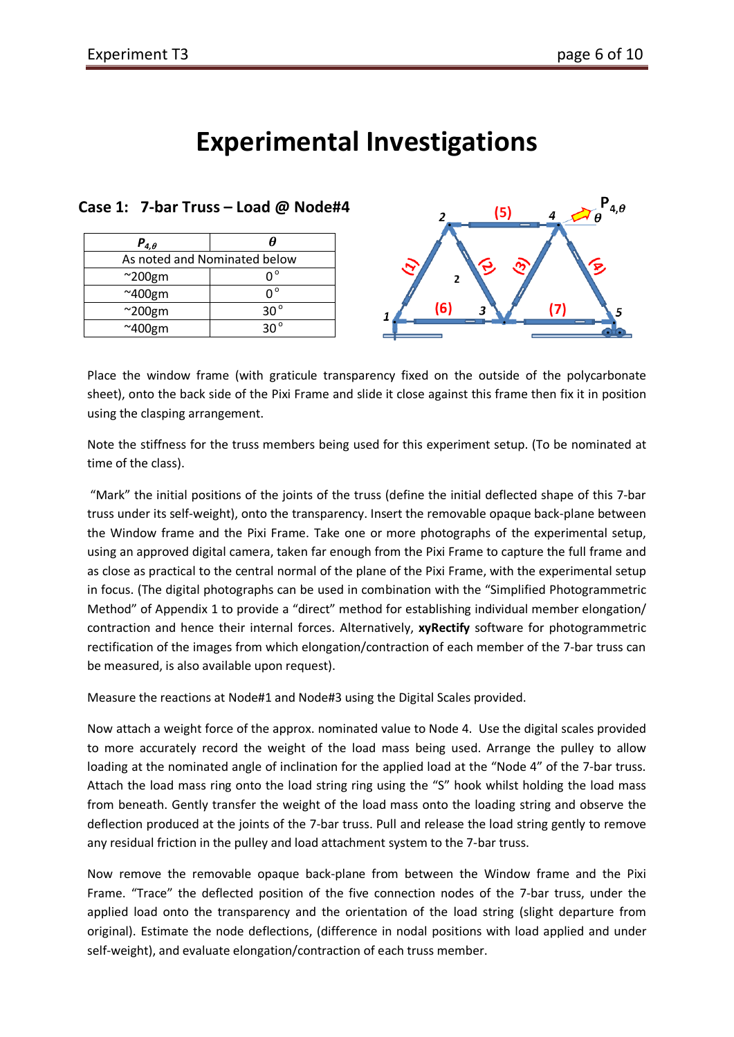# **Experimental Investigations**

| $P_{4,\theta}$               | H            |
|------------------------------|--------------|
| As noted and Nominated below |              |
| $^{\sim}$ 200gm              |              |
| $~\sim$ 400gm                | ∩°           |
| $^{\sim}$ 200gm              | $30^{\circ}$ |
| $~\sim$ 400gm                | 30°          |



Place the window frame (with graticule transparency fixed on the outside of the polycarbonate sheet), onto the back side of the Pixi Frame and slide it close against this frame then fix it in position using the clasping arrangement.

Note the stiffness for the truss members being used for this experiment setup. (To be nominated at time of the class).

"Mark" the initial positions of the joints of the truss (define the initial deflected shape of this 7-bar truss under its self-weight), onto the transparency. Insert the removable opaque back-plane between the Window frame and the Pixi Frame. Take one or more photographs of the experimental setup, using an approved digital camera, taken far enough from the Pixi Frame to capture the full frame and as close as practical to the central normal of the plane of the Pixi Frame, with the experimental setup in focus. (The digital photographs can be used in combination with the "Simplified Photogrammetric Method" of Appendix 1 to provide a "direct" method for establishing individual member elongation/ contraction and hence their internal forces. Alternatively, **xyRectify** software for photogrammetric rectification of the images from which elongation/contraction of each member of the 7-bar truss can be measured, is also available upon request).

Measure the reactions at Node#1 and Node#3 using the Digital Scales provided.

Now attach a weight force of the approx. nominated value to Node 4. Use the digital scales provided to more accurately record the weight of the load mass being used. Arrange the pulley to allow loading at the nominated angle of inclination for the applied load at the "Node 4" of the 7-bar truss. Attach the load mass ring onto the load string ring using the "S" hook whilst holding the load mass from beneath. Gently transfer the weight of the load mass onto the loading string and observe the deflection produced at the joints of the 7-bar truss. Pull and release the load string gently to remove any residual friction in the pulley and load attachment system to the 7-bar truss.

Now remove the removable opaque back-plane from between the Window frame and the Pixi Frame. "Trace" the deflected position of the five connection nodes of the 7-bar truss, under the applied load onto the transparency and the orientation of the load string (slight departure from original). Estimate the node deflections, (difference in nodal positions with load applied and under self-weight), and evaluate elongation/contraction of each truss member.

#### **Case 1: 7-bar Truss – Load @ Node#4**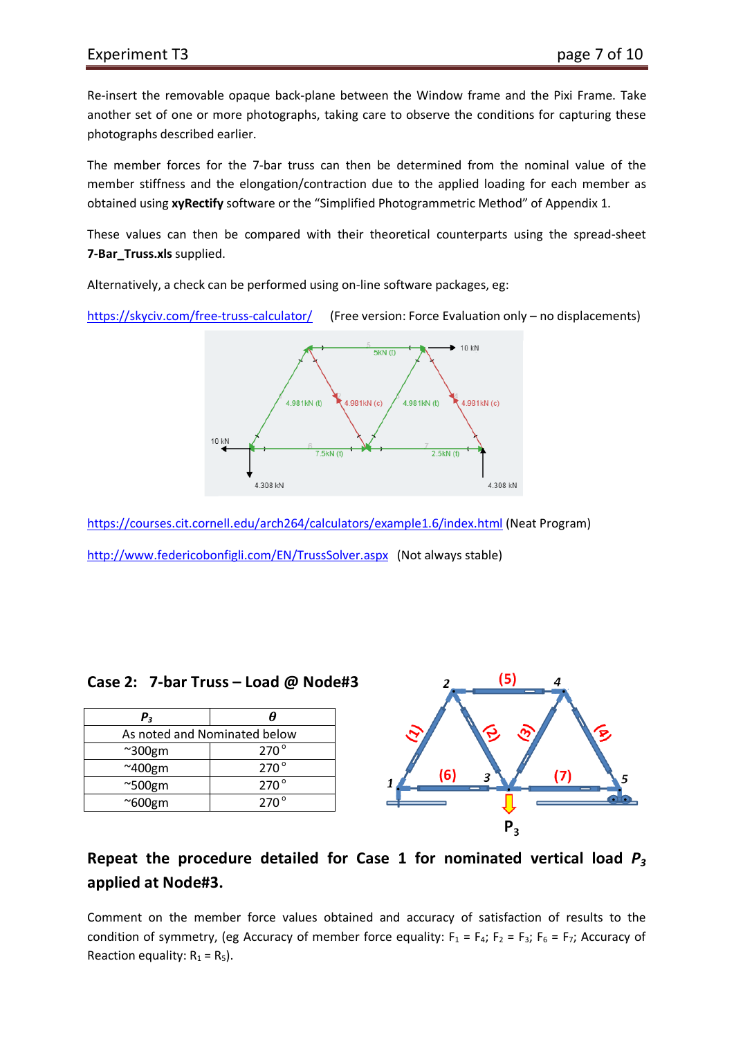Re-insert the removable opaque back-plane between the Window frame and the Pixi Frame. Take another set of one or more photographs, taking care to observe the conditions for capturing these photographs described earlier.

The member forces for the 7-bar truss can then be determined from the nominal value of the member stiffness and the elongation/contraction due to the applied loading for each member as obtained using **xyRectify** software or the "Simplified Photogrammetric Method" of Appendix 1.

These values can then be compared with their theoretical counterparts using the spread-sheet **7-Bar\_Truss.xls** supplied.

Alternatively, a check can be performed using on-line software packages, eg:

<https://skyciv.com/free-truss-calculator/>(Free version: Force Evaluation only – no displacements)



<https://courses.cit.cornell.edu/arch264/calculators/example1.6/index.html> (Neat Program) <http://www.federicobonfigli.com/EN/TrussSolver.aspx>(Not always stable)

#### **Case 2: 7-bar Truss – Load @ Node#3**

| $P_3$                        | A             |
|------------------------------|---------------|
| As noted and Nominated below |               |
| $~\sim$ 300gm                | $270^{\circ}$ |
| $~\sim$ 400gm                | $270^{\circ}$ |
| $^{\sim}$ 500gm              | $270^{\circ}$ |
| $^{\sim}600$ gm              | $270^\circ$   |



## **Repeat the procedure detailed for Case 1 for nominated vertical load** *P3* **applied at Node#3.**

Comment on the member force values obtained and accuracy of satisfaction of results to the condition of symmetry, (eg Accuracy of member force equality:  $F_1 = F_4$ ;  $F_2 = F_3$ ;  $F_6 = F_7$ ; Accuracy of Reaction equality:  $R_1 = R_5$ ).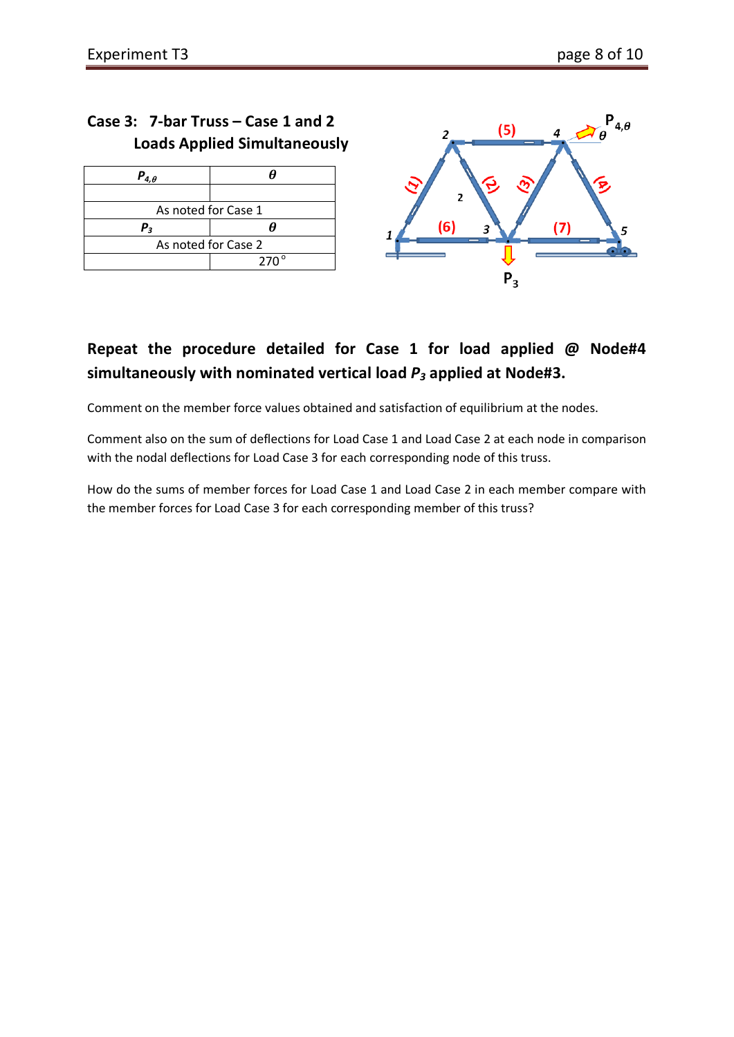## **Case 3: 7-bar Truss – Case 1 and 2 Loads Applied Simultaneously**

| $P_{4,\theta}$      |             |  |  |  |  |
|---------------------|-------------|--|--|--|--|
|                     |             |  |  |  |  |
| As noted for Case 1 |             |  |  |  |  |
| Ρ,                  |             |  |  |  |  |
| As noted for Case 2 |             |  |  |  |  |
|                     | $270^\circ$ |  |  |  |  |



# **Repeat the procedure detailed for Case 1 for load applied @ Node#4 simultaneously with nominated vertical load** *P3* **applied at Node#3.**

Comment on the member force values obtained and satisfaction of equilibrium at the nodes.

Comment also on the sum of deflections for Load Case 1 and Load Case 2 at each node in comparison with the nodal deflections for Load Case 3 for each corresponding node of this truss.

How do the sums of member forces for Load Case 1 and Load Case 2 in each member compare with the member forces for Load Case 3 for each corresponding member of this truss?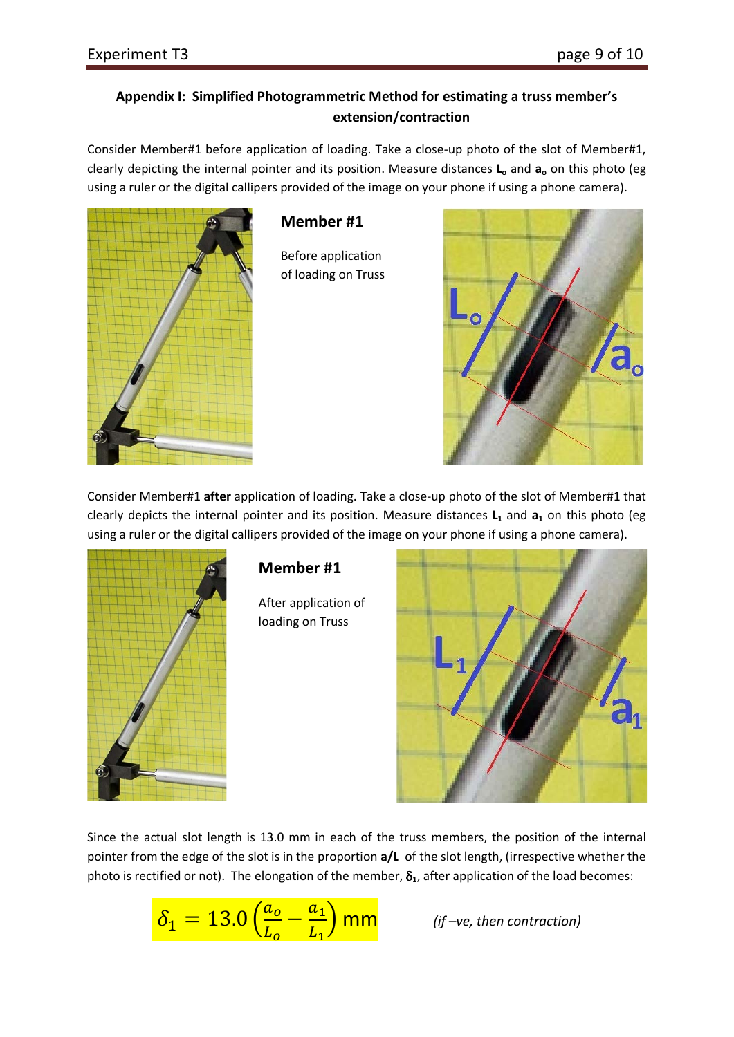#### **Appendix I: Simplified Photogrammetric Method for estimating a truss member's extension/contraction**

Consider Member#1 before application of loading. Take a close-up photo of the slot of Member#1, clearly depicting the internal pointer and its position. Measure distances **Lo** and **ao** on this photo (eg using a ruler or the digital callipers provided of the image on your phone if using a phone camera).



#### **Member #1**

Before application of loading on Truss



Consider Member#1 **after** application of loading. Take a close-up photo of the slot of Member#1 that clearly depicts the internal pointer and its position. Measure distances L<sub>1</sub> and a<sub>1</sub> on this photo (eg using a ruler or the digital callipers provided of the image on your phone if using a phone camera).



## **Member #1**

After application of loading on Truss



Since the actual slot length is 13.0 mm in each of the truss members, the position of the internal pointer from the edge of the slot is in the proportion **a/L** of the slot length, (irrespective whether the photo is rectified or not). The elongation of the member,  $\delta_1$ , after application of the load becomes:

$$
\delta_1 = 13.0 \left( \frac{a_o}{L_o} - \frac{a_1}{L_1} \right)
$$
mm

� mm *(if –ve, then contraction)*